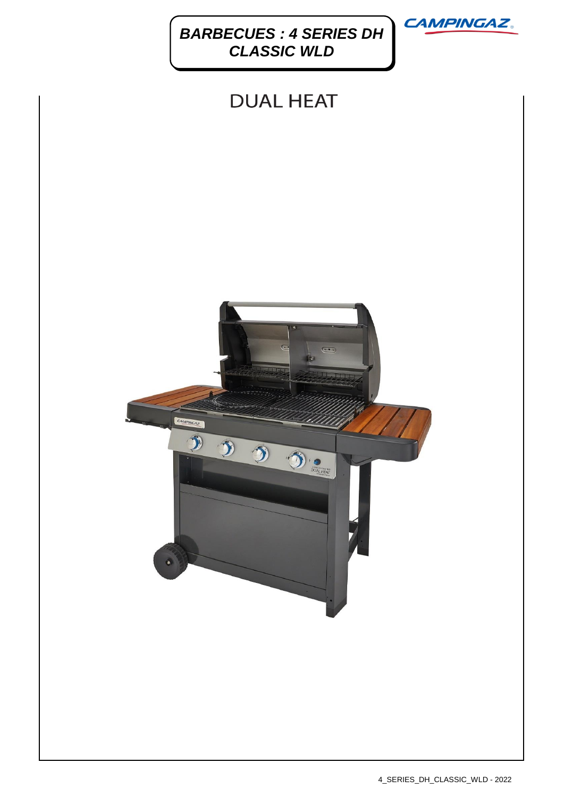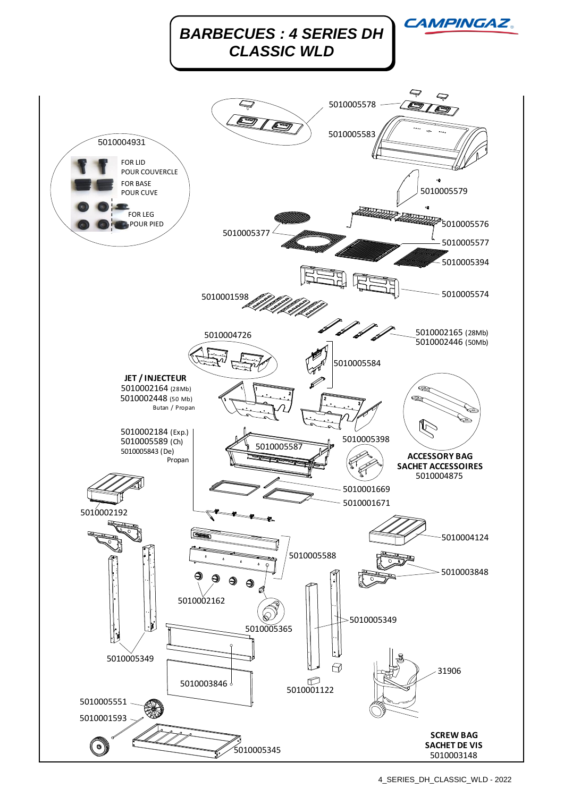